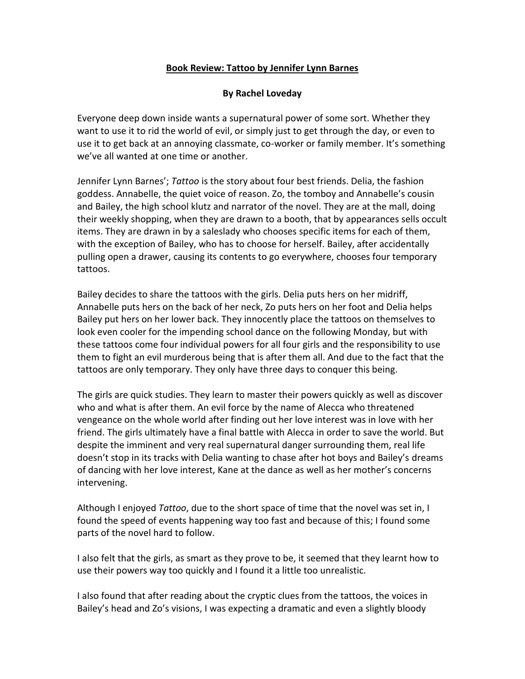## **Book Review: Tattoo by Jennifer Lynn Barnes**

## **By Rachel Loveday**

Everyone deep down inside wants a supernatural power of some sort. Whether they want to use it to rid the world of evil, or simply just to get through the day, or even to use it to get back at an annoying classmate, co-worker or family member. It's something we've all wanted at one time or another.

Jennifer Lynn Barnes'; *Tattoo* is the story about four best friends. Delia, the fashion goddess. Annabelle, the quiet voice of reason. Zo, the tomboy and Annabelle's cousin and Bailey, the high school klutz and narrator of the novel. They are at the mall, doing their weekly shopping, when they are drawn to a booth, that by appearances sells occult items. They are drawn in by a saleslady who chooses specific items for each of them, with the exception of Bailey, who has to choose for herself. Bailey, after accidentally pulling open a drawer, causing its contents to go everywhere, chooses four temporary tattoos.

Bailey decides to share the tattoos with the girls. Delia puts hers on her midriff, Annabelle puts hers on the back of her neck, Zo puts hers on her foot and Delia helps Bailey put hers on her lower back. They innocently place the tattoos on themselves to look even cooler for the impending school dance on the following Monday, but with these tattoos come four individual powers for all four girls and the responsibility to use them to fight an evil murderous being that is after them all. And due to the fact that the tattoos are only temporary. They only have three days to conquer this being.

The girls are quick studies. They learn to master their powers quickly as well as discover who and what is after them. An evil force by the name of Alecca who threatened vengeance on the whole world after finding out her love interest was in love with her friend. The girls ultimately have a final battle with Alecca in order to save the world. But despite the imminent and very real supernatural danger surrounding them, real life doesn't stop in its tracks with Delia wanting to chase after hot boys and Bailey's dreams of dancing with her love interest, Kane at the dance as well as her mother's concerns intervening.

Although I enjoyed *Tattoo*, due to the short space of time that the novel was set in, I found the speed of events happening way too fast and because of this; I found some parts of the novel hard to follow.

I also felt that the girls, as smart as they prove to be, it seemed that they learnt how to use their powers way too quickly and I found it a little too unrealistic.

I also found that after reading about the cryptic clues from the tattoos, the voices in Bailey's head and Zo's visions, I was expecting a dramatic and even a slightly bloody